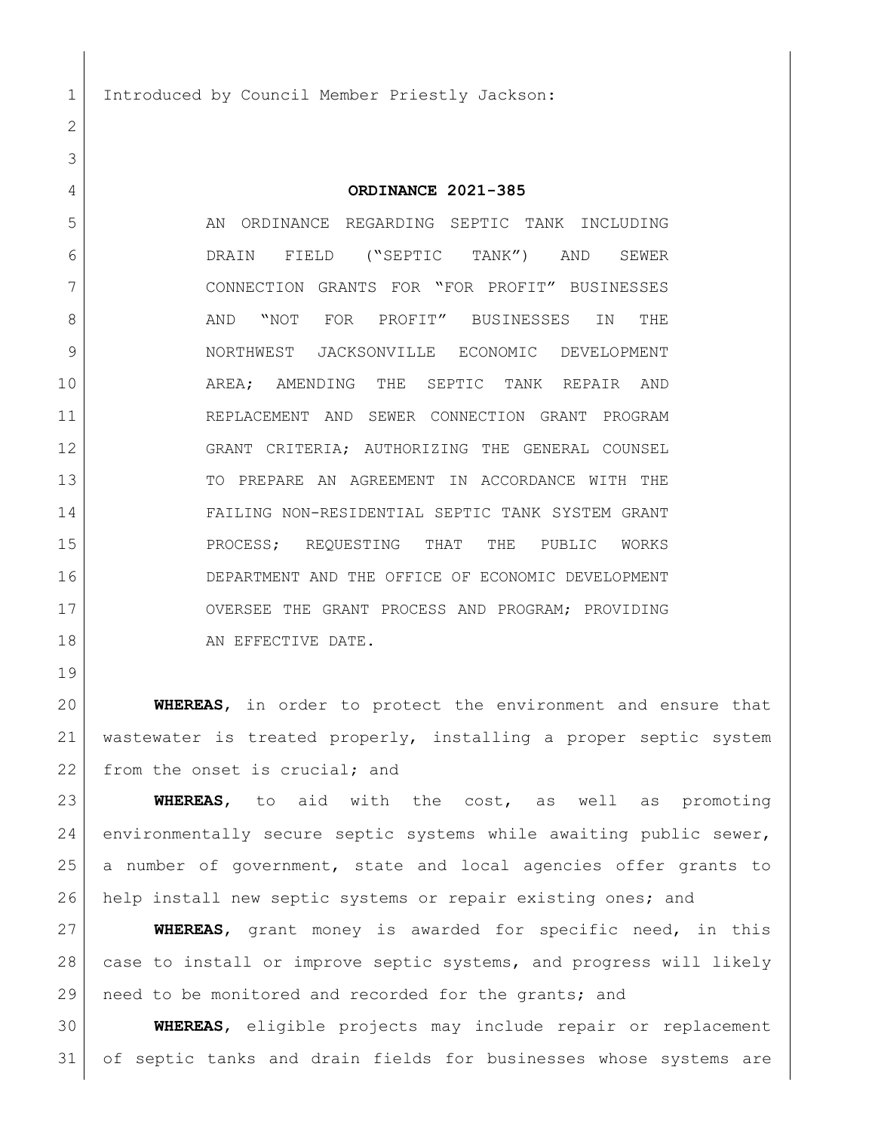1 Introduced by Council Member Priestly Jackson:

**ORDINANCE 2021-385**

5 AN ORDINANCE REGARDING SEPTIC TANK INCLUDING DRAIN FIELD ("SEPTIC TANK") AND SEWER CONNECTION GRANTS FOR "FOR PROFIT" BUSINESSES 8 AND "NOT FOR PROFIT" BUSINESSES IN THE NORTHWEST JACKSONVILLE ECONOMIC DEVELOPMENT AREA; AMENDING THE SEPTIC TANK REPAIR AND REPLACEMENT AND SEWER CONNECTION GRANT PROGRAM GRANT CRITERIA; AUTHORIZING THE GENERAL COUNSEL TO PREPARE AN AGREEMENT IN ACCORDANCE WITH THE FAILING NON-RESIDENTIAL SEPTIC TANK SYSTEM GRANT 15 PROCESS; REQUESTING THAT THE PUBLIC WORKS DEPARTMENT AND THE OFFICE OF ECONOMIC DEVELOPMENT 17 OVERSEE THE GRANT PROCESS AND PROGRAM; PROVIDING 18 AN EFFECTIVE DATE.

 **WHEREAS**, in order to protect the environment and ensure that wastewater is treated properly, installing a proper septic system 22 from the onset is crucial; and

 **WHEREAS**, to aid with the cost, as well as promoting environmentally secure septic systems while awaiting public sewer, a number of government, state and local agencies offer grants to help install new septic systems or repair existing ones; and

 **WHEREAS**, grant money is awarded for specific need, in this 28 case to install or improve septic systems, and progress will likely need to be monitored and recorded for the grants; and

 **WHEREAS**, eligible projects may include repair or replacement of septic tanks and drain fields for businesses whose systems are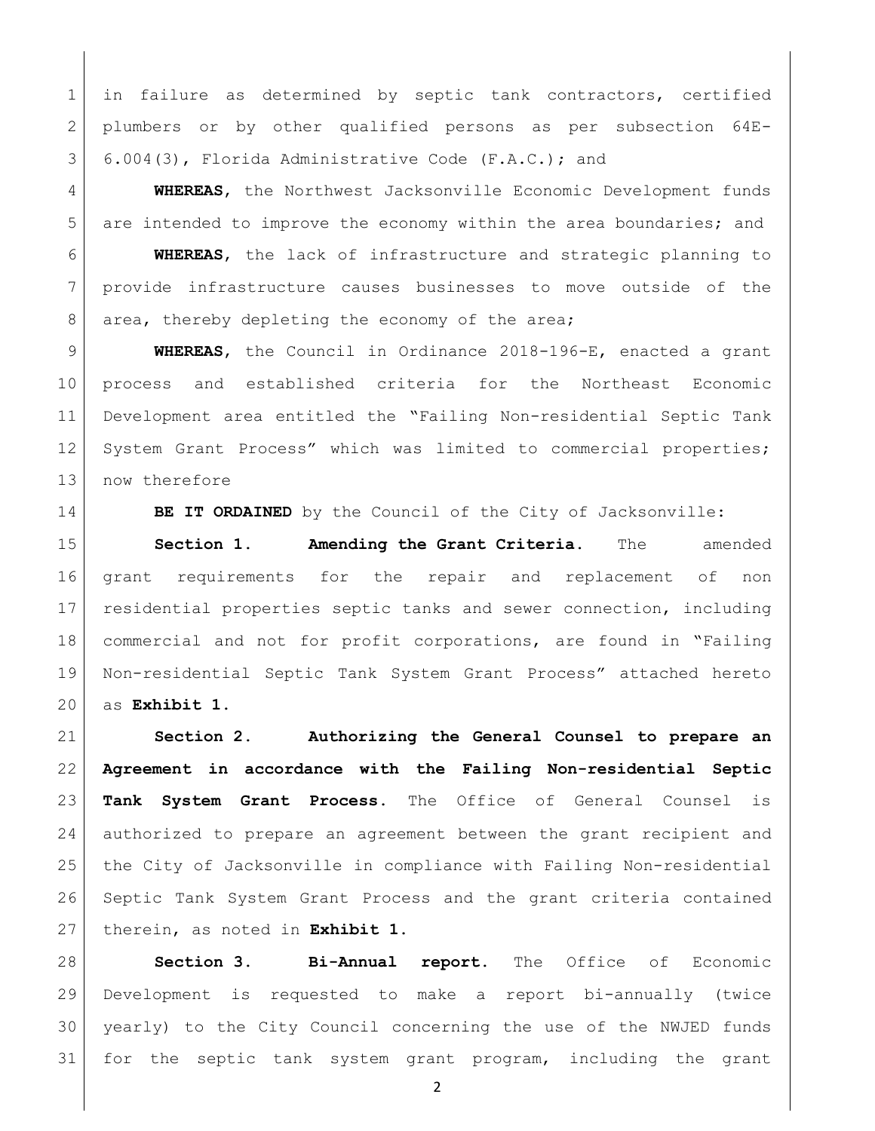1 | in failure as determined by septic tank contractors, certified plumbers or by other qualified persons as per subsection 64E-6.004(3), Florida Administrative Code (F.A.C.); and

 **WHEREAS**, the Northwest Jacksonville Economic Development funds 5 are intended to improve the economy within the area boundaries; and

 **WHEREAS**, the lack of infrastructure and strategic planning to provide infrastructure causes businesses to move outside of the 8 area, thereby depleting the economy of the area;

 **WHEREAS**, the Council in Ordinance 2018-196-E, enacted a grant process and established criteria for the Northeast Economic Development area entitled the "Failing Non-residential Septic Tank 12 System Grant Process" which was limited to commercial properties; 13 now therefore

**BE IT ORDAINED** by the Council of the City of Jacksonville:

 **Section 1. Amending the Grant Criteria.** The amended grant requirements for the repair and replacement of non residential properties septic tanks and sewer connection, including commercial and not for profit corporations, are found in "Failing Non-residential Septic Tank System Grant Process" attached hereto as **Exhibit 1**.

 **Section 2. Authorizing the General Counsel to prepare an Agreement in accordance with the Failing Non-residential Septic Tank System Grant Process.** The Office of General Counsel is authorized to prepare an agreement between the grant recipient and the City of Jacksonville in compliance with Failing Non-residential Septic Tank System Grant Process and the grant criteria contained therein, as noted in **Exhibit 1**.

 **Section 3. Bi-Annual report.** The Office of Economic Development is requested to make a report bi-annually (twice yearly) to the City Council concerning the use of the NWJED funds for the septic tank system grant program, including the grant